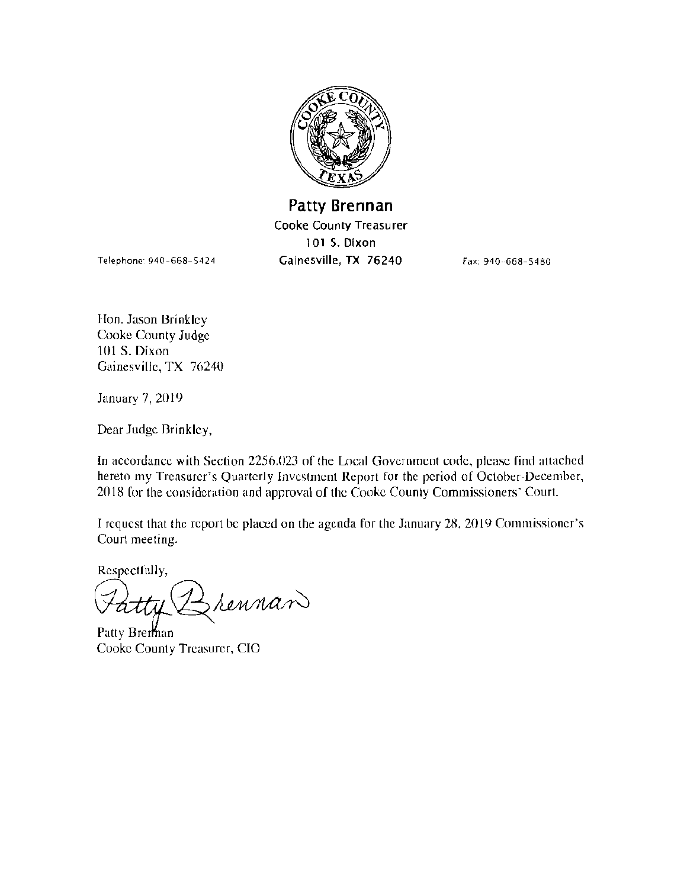

Patty Brennan Cooke County Treasurer l 01 S. Dixon Gainesville, TX 76240 Fax: 940-668-5480

Hon. Jason Brinkley Cooke County Judge 101 S. Dixon Gainesville, TX 76240

Telephone· 940-668-5424

January 7, 2019

Dear Judge Brinkley,

In accordance with Section 2256.023 of the Local Government code, plense find attached hereto my Treasurer's Quarterly Investment Report for the period of October-December, 2018 for the consideration and approval of the Cooke County Commissioners' Court.

I request that the report be placed on the agenda for the January 2K, 2019 Commissioner's Court meeting. the report be placed on the agenda for the January 2

Respectfully,

 $\star$ atty

Cooke County Treasurer, CIO Patty Bre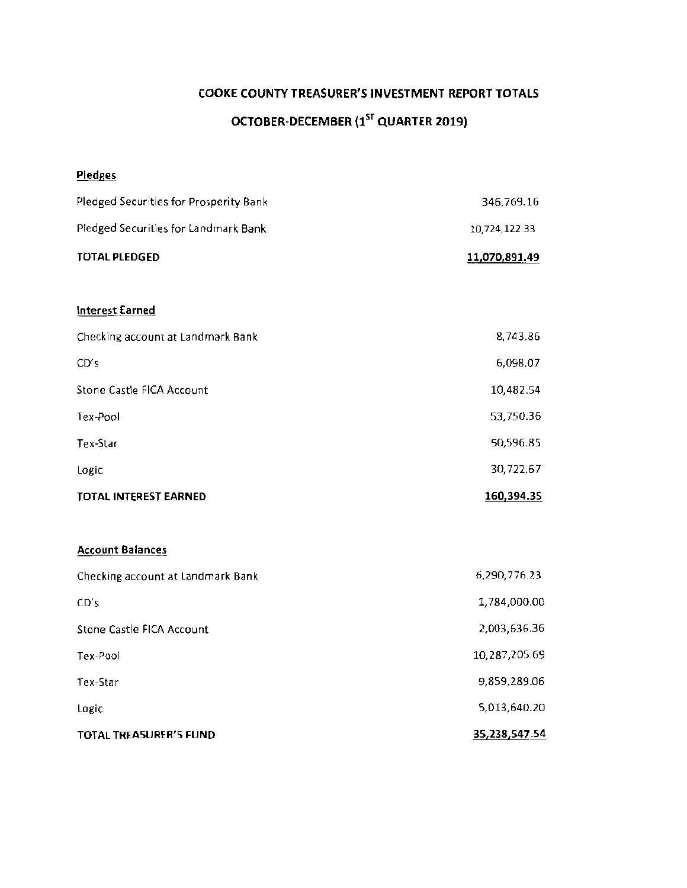# COOKE COUNTY TREASURER'S INVESTMENT REPORT TOTALS OCTOBER-DECEMBER (1" QUARTER 2019)

| <b>Pledges</b>                         |               |
|----------------------------------------|---------------|
| Pledged Securities for Prosperity Bank | 346,769.16    |
| Pledged Securities for Landmark Bank   | 10,724,122.33 |
| <b>TOTAL PLEDGED</b>                   | 11,070,891.49 |
|                                        |               |
| <b>Interest Earned</b>                 |               |
| Checking account at Landmark Bank      | 8,743.86      |
| CD's                                   | 6,098.07      |
| Stone Castle FICA Account              | 10,482.54     |
| Tex-Pool                               | 53,750.36     |
| Tex-Star                               | 50,596.85     |
| Logic                                  | 30,722.67     |
| <b>TOTAL INTEREST EARNED</b>           | 160,394.35    |
| <b>Account Balances</b>                |               |
|                                        |               |
| Checking account at Landmark Bank      | 6,290,776.23  |
| CD's                                   | 1,784,000.00  |
| Stone Castle FICA Account              | 2,003,636.36  |
| Tex-Pool                               | 10,287,205.69 |
| Tex-Star                               | 9,859,289.06  |
| Logic                                  | 5,013,640.20  |

**35,238,547.54** 

**TOTAL TREASURER'S FUND**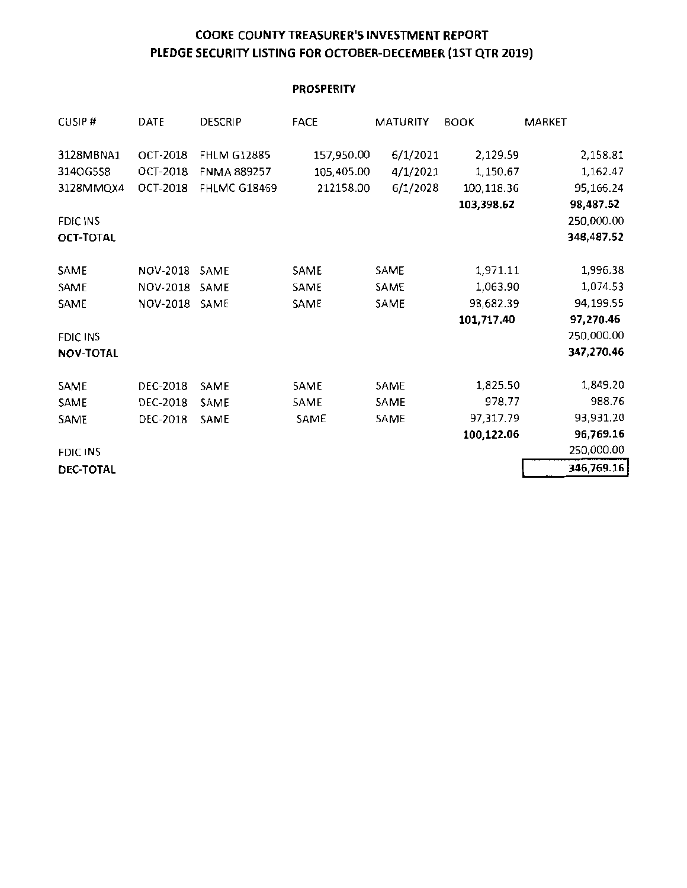#### COOKE COUNTY TREASURER'S INVESTMENT REPORT PLEDGE SECURITY LISTING FOR OCTOBER-DECEMBER (1ST QTR 2019)

#### **PROSPERITY**

| CUSIP#           | DATE            | <b>DESCRIP</b>      | <b>FACE</b> | MATURITY | <b>BOOK</b> | MARKET     |
|------------------|-----------------|---------------------|-------------|----------|-------------|------------|
| 3128MBNA1        | OCT-2018        | <b>FHLM G12885</b>  | 157,950.00  | 6/1/2021 | 2,129.59    | 2,158.81   |
| 314OG5S8         | <b>OCT-2018</b> | <b>FNMA 889257</b>  | 105,405.00  | 4/1/2021 | 1,150.67    | 1,162.47   |
| 3128MMQX4        | OCT-2018        | <b>FHLMC G18469</b> | 212158.00   | 6/1/2028 | 100,118.36  | 95,166.24  |
|                  |                 |                     |             |          | 103,398.62  | 98,487.52  |
| FDIC INS         |                 |                     |             |          |             | 250,000.00 |
| OCT-TOTAL        |                 |                     |             |          |             | 348,487.52 |
| SAME             | NOV-2018        | SAME                | SAME        | SAME     | 1,971.11    | 1,996.38   |
| SAME             | NOV-2018        | SAME                | SAME        | SAME     | 1,063.90    | 1,074.53   |
| SAME             | NOV-2018        | SAME                | SAME        | SAME     | 98,682.39   | 94,199.55  |
|                  |                 |                     |             |          | 101,717.40  | 97,270.46  |
| FDIC INS         |                 |                     |             |          |             | 250,000.00 |
| <b>NOV-TOTAL</b> |                 |                     |             |          |             | 347,270.46 |
| SAME             | DEC-2018        | SAME                | SAME        | SAME     | 1,825.50    | 1,849.20   |
| SAME             | DEC-2018        | SAME                | SAME        | SAME     | 978.77      | 988.76     |
| SAME             | DEC-2018        | SAME                | SAME        | SAME     | 97,317.79   | 93,931.20  |
|                  |                 |                     |             |          | 100,122.06  | 96,769.16  |
| FDIC INS         |                 |                     |             |          |             | 250,000.00 |
| <b>DEC-TOTAL</b> |                 |                     |             |          |             | 346,769.16 |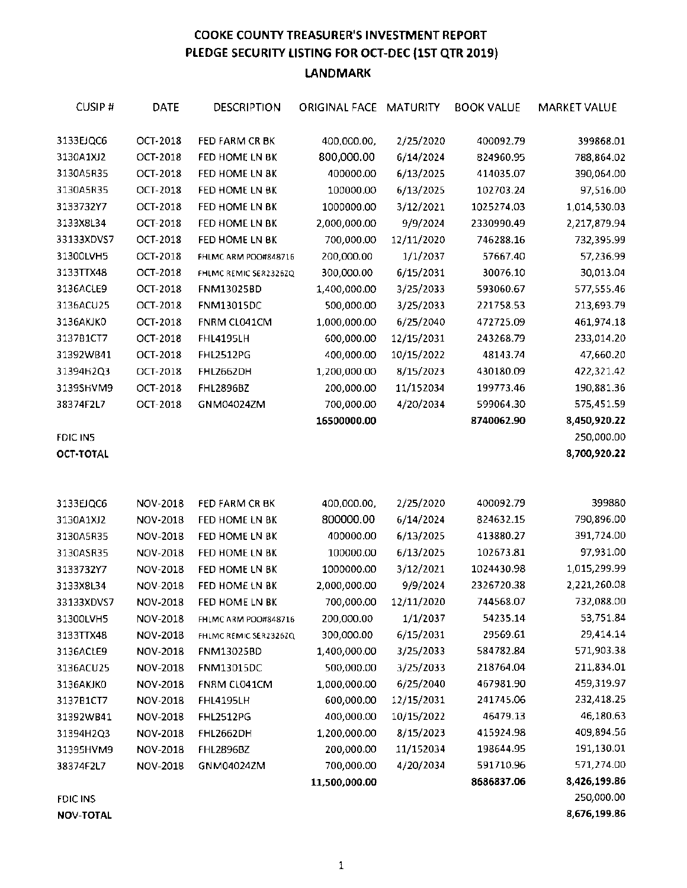#### COOKE COUNTY TREASURER'S INVESTMENT REPORT PLEDGE SECURITY LISTING FOR OCT-DEC (1ST QTR 2019) LANDMARK

| CUSIP#     | <b>DATE</b>     | DESCRIPTION           | ORIGINAL FACE MATURITY |            | <b>BOOK VALUE</b> | MARKET VALUE |
|------------|-----------------|-----------------------|------------------------|------------|-------------------|--------------|
| 3133EJQC6  | OCT-2018        | FED FARM CR BK        | 400,000.00,            | 2/25/2020  | 400092.79         | 399868.01    |
| 3130A1XJ2  | OCT-2018        | FED HOME LN BK        | 800,000.00             | 6/14/2024  | 824960.95         | 788,864.02   |
| 3130A5R35  | OCT-2018        | FED HOME LN BK        | 400000.00              | 6/13/2025  | 414035.07         | 390,064.00   |
| 3130A5R35  | OCT-2018        | FED HOME LN BK        | 100000.00              | 6/13/2025  | 102703.24         | 97,516.00    |
| 3133732Y7  | OCT-2018        | FED HOME LN BK        | 1000000.00             | 3/12/2021  | 1025274.03        | 1,014,530.03 |
| 3133X8L34  | OCT-2018        | FED HOME LN BK        | 2,000,000.00           | 9/9/2024   | 2330990.49        | 2,217,879.94 |
| 33133XDVS7 | OCT-2018        | FED HOME LN BK        | 700,000.00             | 12/11/2020 | 746288.16         | 732,395.99   |
| 31300LVH5  | OCT-2018        | FHLMC ARM POO#848716  | 200,000.00             | 1/1/2037   | 57667.40          | 57,236.99    |
| 3133TTX48  | OCT-2018        | FHLMC REMIC SER2326ZQ | 300,000.00             | 6/15/2031  | 30076.10          | 30,013.04    |
| 3136ACLE9  | OCT-2018        | FNM13025BD            | 1,400,000.00           | 3/25/2033  | 593060.67         | 577,555.46   |
| 3136ACU25  | OCT-2018        | <b>FNM13015DC</b>     | 500,000.00             | 3/25/2033  | 221758.53         | 213,693.79   |
| 3136AKJKO  | OCT-2018        | FNRM CL041CM          | 1,000,000.00           | 6/25/2040  | 472725.09         | 461,974.18   |
| 3137B1CT7  | OCT-2018        | <b>FHL4195LH</b>      | 600,000.00             | 12/15/2031 | 243268.79         | 233,014.20   |
| 31392WB41  | OCT-2018        | <b>FHL2512PG</b>      | 400,000.00             | 10/15/2022 | 48143.74          | 47,660.20    |
| 31394H2Q3  | <b>OCT-2018</b> | <b>FHL2662DH</b>      | 1,200,000.00           | 8/15/2023  | 430180.09         | 422,321.42   |
| 3139SHVM9  | OCT-2018        | <b>FHL2896BZ</b>      | 200,000.00             | 11/152034  | 199773.46         | 190,881.36   |
| 38374F2L7  | OCT-2018        | GNM04024ZM            | 700,000.00             | 4/20/2034  | 599064.30         | 575,451.59   |
|            |                 |                       | 16500000.00            |            | 8740062.90        | 8,450,920.22 |
| FDIC IN5   |                 |                       |                        |            |                   | 250,000.00   |
| OCT-TOTAL  |                 |                       |                        |            |                   | 8,700,920.22 |
|            |                 |                       |                        |            |                   |              |
| 3133EJQC6  | NOV-2018        | FED FARM CR BK        | 400,000.00,            | 2/25/2020  | 400092.79         | 399880       |
| 3130A1XJ2  | NOV-2018        | FED HOME LN BK        | 800000.00              | 6/14/2024  | 824632.15         | 790,896.00   |
| 3130A5R35  | NOV-2018        | FED HOME LN BK        | 400000.00              | 6/13/2025  | 413880.27         | 391,724.00   |
| 3130ASR35  | NOV-2018        | FED HOME LN BK        | 100000.00              | 6/13/2025  | 102673.81         | 97,931.00    |
| 3133732Y7  | NOV-2018        | FED HOME LN BK        | 1000000.00             | 3/12/2021  | 1024430.98        | 1,015,299.99 |
| 3133X8L34  | NOV-2018        | FED HOME LN BK        | 2,000,000.00           | 9/9/2024   | 2326720.38        | 2,221,260.08 |
| 33133XDVS7 | NOV-2018        | FED HOME LN BK        | 700,000.00             | 12/11/2020 | 744568.07         | 732,088.00   |
| 31300LVH5  | NOV-2018        | FHLMC ARM POO#848716  | 200,000.00             | 1/1/2037   | 54235.14          | 53,751.84    |
| 3133TTX48  | NOV-2018        | FHLMC REMIC SER2326ZQ | 300,000.00             | 6/15/2031  | 29569.61          | 29,414.14    |
| 3136ACLE9  | NOV-2018        | <b>FNM13025BD</b>     | 1,400,000.00           | 3/25/2033  | 584782.84         | 571,903.38   |
| 3136ACU25  | NOV-2018        | FNM13015DC            | 500,000.00             | 3/25/2033  | 218764.04         | 211,834.01   |
| 3136AKJKO  | NOV-2018        | FNRM CL041CM          | 1,000,000.00           | 6/25/2040  | 467981.90         | 459,319.97   |
| 3137B1CT7  | NOV-2018        | <b>FHL4195LH</b>      | 600,000.00             | 12/15/2031 | 241745.06         | 232,418.25   |
| 31392WB41  | NOV-2018        | <b>FHL2512PG</b>      | 400,000.00             | 10/15/2022 | 46479.13          | 46,180.63    |
| 31394H2Q3  | NOV-2018        | <b>FHL2662DH</b>      | 1,200,000.00           | 8/15/2023  | 415924.98         | 409,894.56   |
| 31395HVM9  | NOV-2018        | <b>FHL2896BZ</b>      | 200,000.00             | 11/152034  | 198644.95         | 191,130.01   |
| 38374F2L7  | NOV-2018        | GNM04024ZM            | 700,000.00             | 4/20/2034  | 591710.96         | 571,274.00   |
|            |                 |                       | 11,500,000.00          |            | 8686837.06        | 8,426,199.86 |
| FDIC INS   |                 |                       |                        |            |                   | 250,000.00   |

**NOV-TOTAL 8,676,199.86**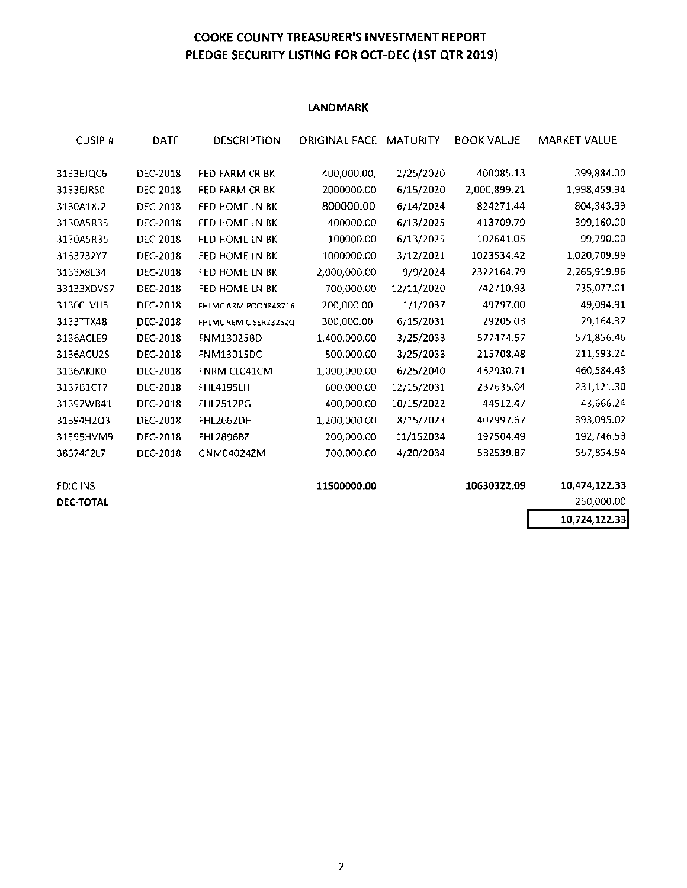#### COOKE COUNTY TREASURER'S INVESTMENT REPORT PlEDGE SECURITY liSTING FOR OCT-DEC (1ST QTR 2019)

#### **LANDMARK**

| <b>CUSIP#</b>    | DATE            | DESCRIPTION           | ORIGINAL FACE | MATURITY   | <b>BOOK VALUE</b> | <b>MARKET VALUE</b> |
|------------------|-----------------|-----------------------|---------------|------------|-------------------|---------------------|
| 3133EJQC6        | DEC-2018        | <b>FED FARM CR BK</b> | 400,000.00,   | 2/25/2020  | 400085.13         | 399,884.00          |
| 3133EJRS0        | DEC-2018        | FED FARM CR BK        | 2000000.00    | 6/15/2020  | 2,000,899.21      | 1,998,459.94        |
| 3130A1XJ2        | DEC-2018        | FED HOME LN BK        | 800000.00     | 6/14/2024  | 824271.44         | 804,343.99          |
| 3130A5R35        | DEC-2018        | FED HOME LN BK        | 400000.00     | 6/13/2025  | 413709.79         | 399,160.00          |
| 3130A5R35        | DEC-2018        | FED HOME LN BK        | 100000.00     | 6/13/2025  | 102641.05         | 99,790.00           |
| 3133732Y7        | DEC-2018        | FED HOME LN BK        | 1000000.00    | 3/12/2021  | 1023534.42        | 1,020,709.99        |
| 3133X8L34        | DEC-2018        | FED HOME LN BK        | 2,000,000.00  | 9/9/2024   | 2322164.79        | 2,265,919.96        |
| 33133XDVS7       | DEC-2018        | FED HOME LN BK        | 700,000.00    | 12/11/2020 | 742710.93         | 735,077.01          |
| 31300LVH5        | <b>DEC-2018</b> | FHLMC ARM POO#848716  | 200,000.00    | 1/1/2037   | 49797.00          | 49,094.91           |
| 3133TTX48        | DEC-2018        | FHLMC REMIC SER2326ZQ | 300,000.00    | 6/15/2031  | 29205.03          | 29,164.37           |
| 3136ACLE9        | <b>DEC-2018</b> | FNM13025BD            | 1,400,000.00  | 3/25/2033  | 577474.57         | 571,856.46          |
| 3136ACU2S        | DEC-2018        | <b>FNM13015DC</b>     | 500,000.00    | 3/25/2033  | 215708.48         | 211,593.24          |
| 3136AKJK0        | DEC-2018        | FNRM CL041CM          | 1,000,000.00  | 6/25/2040  | 462930.71         | 460,584.43          |
| 3137B1CT7        | DEC-2018        | <b>FHL4195LH</b>      | 600,000.00    | 12/15/2031 | 237635.04         | 231,121.30          |
| 31392WB41        | DEC-2018        | FHL2512PG             | 400,000.00    | 10/15/2022 | 44512.47          | 43,666.24           |
| 31394H2Q3        | DEC-2018        | FHL2662DH             | 1,200,000.00  | 8/15/2023  | 402997.67         | 393,095.02          |
| 31395HVM9        | DEC-2018        | <b>FHL2896BZ</b>      | 200,000.00    | 11/152034  | 197504.49         | 192,746.53          |
| 38374F2L7        | DEC-2018        | GNM040242M            | 700,000.00    | 4/20/2034  | 582539.87         | 567,854.94          |
| <b>FDIC INS</b>  |                 |                       | 11500000.00   |            | 10630322.09       | 10,474,122.33       |
| <b>DEC-TOTAL</b> |                 |                       |               |            |                   | 250,000.00          |
|                  |                 |                       |               |            |                   | 10,724,122.33       |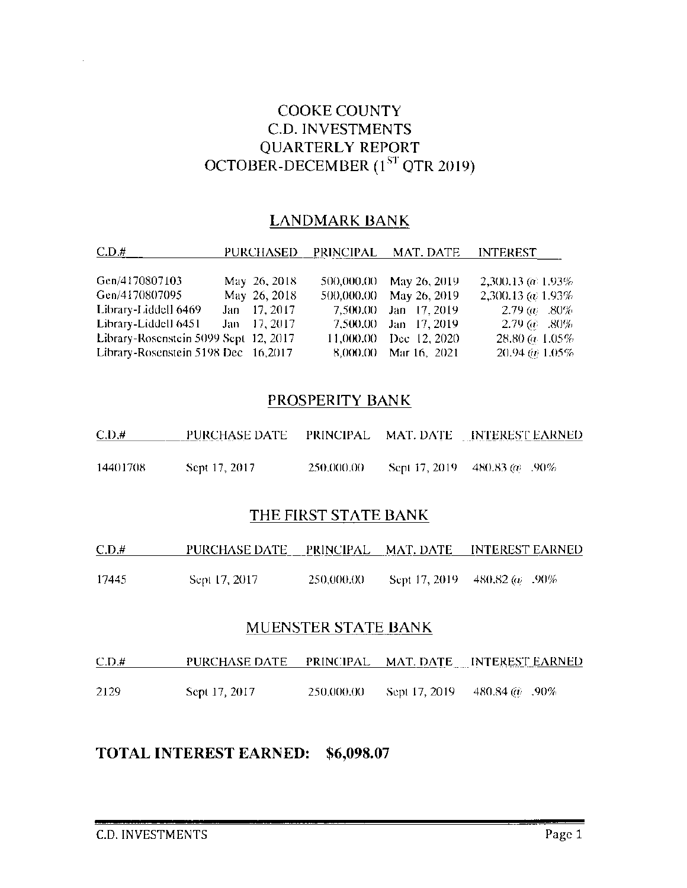## **COOKE COUNTY C.D. INVESTMENTS QUARTERLY REPORT** OCTOBER-DECEMBER  $(1<sup>ST</sup>$  QTR 2019)

#### **LANDMARK BANK**

| C.D.#                                 |              |            | PURCHASED PRINCIPAL MAT. DATE | <b>INTEREST</b>            |
|---------------------------------------|--------------|------------|-------------------------------|----------------------------|
| Gen/4170807103                        | May 26, 2018 | 500,000,00 | May 26, 2019                  | $2,300.13$ (at 1.93%)      |
| Gen/4170807095                        | May 26, 2018 | 500,000.00 | May 26, 2019                  | 2,300.13 ( $\omega$ 1.93%) |
| Library-Liddell 6469                  | Jan 17, 2017 | 7,500.00   | Jan 17, 2019                  | $-2.79$ (a) $-0.80\%$      |
| Library-Liddell 6451                  | Jan 17, 2017 |            | 7,500.00 Jan 17, 2019         | $-2.79~\omega$ .80%        |
| Library-Rosenstein 5099 Sept 12, 2017 |              |            | 11,000.00 Dec 12, 2020        | $28.80 \ (a. 1.05\%)$      |
| Library-Rosenstein 5198 Dec 16,2017   |              |            | 8,000.00 Mar 16, 2021         | $20.94\ (a) 1.05\%$        |

#### PROSPERITY BANK

| C.D.#    | PURCHASE DATE |            | PRINCIPAL MAT. DATE INTEREST EARNED  |
|----------|---------------|------------|--------------------------------------|
| 14401708 | Sept 17, 2017 | 250,000.00 | Sept 17, 2019 480.83 ( $\omega$ .90% |

## THE FIRST STATE BANK

| C.D.# | PURCHASE DATE – | - PRINCIPAL - MAT. DATE - | <b>INTEREST EARNED</b>                |
|-------|-----------------|---------------------------|---------------------------------------|
|       |                 |                           |                                       |
| 17445 | Sept 17, 2017   | 250,000,00                | Sept 17, 2019 480.82 ( $\omega$ .90%) |

#### **MUENSTER STATE BANK**

| C.D.# |               |            | PURCHASE DATE PRINCIPAL MAT. DATE INTEREST EARNED |
|-------|---------------|------------|---------------------------------------------------|
|       |               |            |                                                   |
| 2129  | Sept 17, 2017 | 250,000,00 | Sept 17, 2019 480.84 $\omega$ .90%                |

## TOTAL INTEREST EARNED: \$6,098.07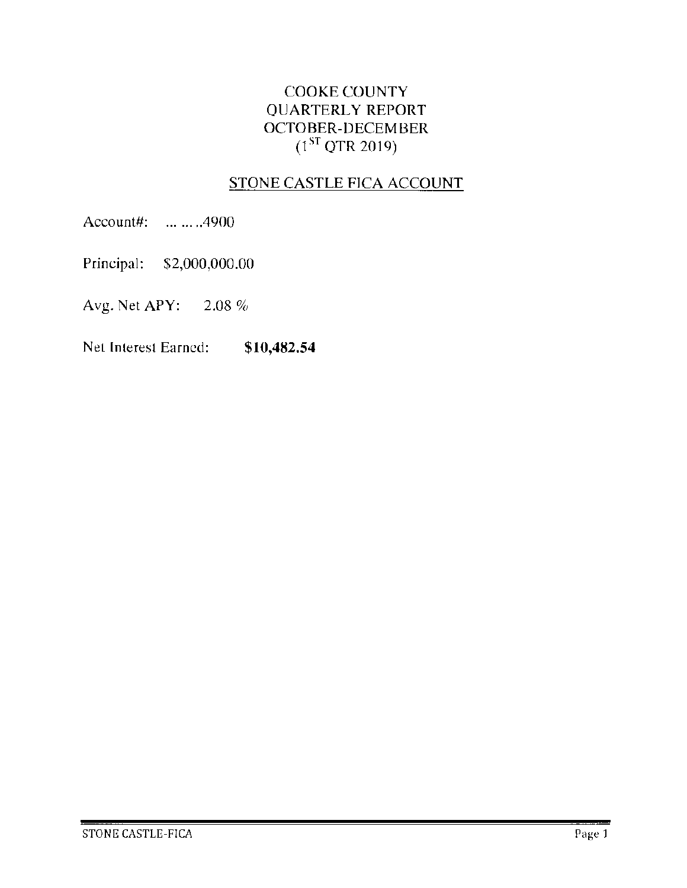## COOKE COUNTY QUARTERLY REPORT OCTOBER-DECEMBER  $(1^{ST}$  QTR 2019)

## STONE CASTLE FICA ACCOUNT

Account#: ....... .4900

Principal: \$2,000,000.00

Avg. Net APY: 2.08%

**Net lnleresl Earned: \$10,482.54**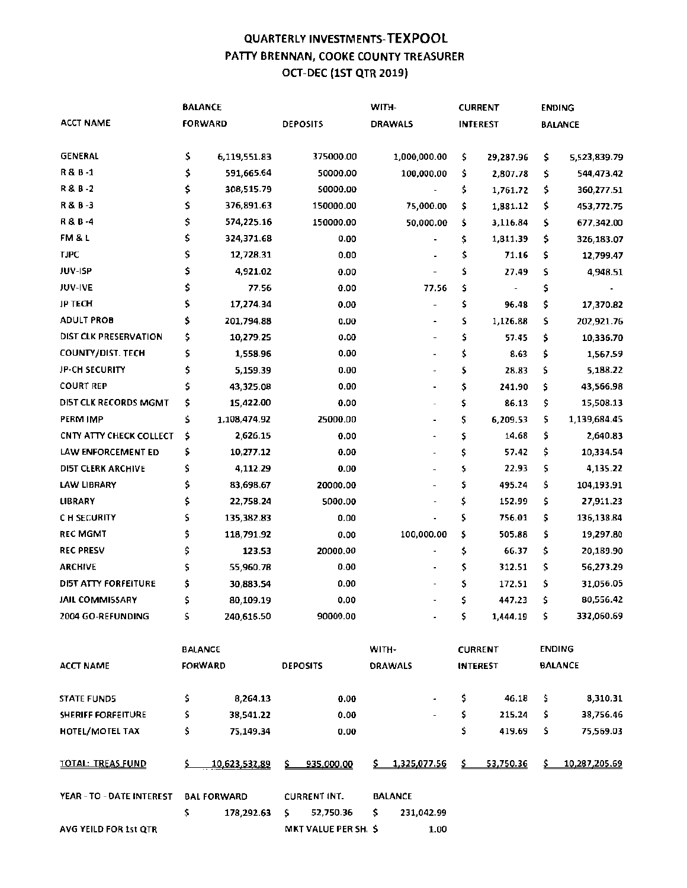#### QUARTERLY INVESTMENTS~ TEXP00l PATTY BRENNAN, COOKE COUNTY TREASURER OCT~DEC {1ST QTR 2019)

|                           | <b>BALANCE</b> |                    | WITH-                |    |                          | <b>CURRENT</b> |                 | <b>ENDING</b> |                |
|---------------------------|----------------|--------------------|----------------------|----|--------------------------|----------------|-----------------|---------------|----------------|
| <b>ACCT NAME</b>          |                | <b>FORWARD</b>     | <b>DEPOSITS</b>      |    | <b>DRAWALS</b>           |                | <b>INTEREST</b> |               | <b>BALANCE</b> |
| <b>GENERAL</b>            | \$             | 6,119,551.83       | 375000.00            |    | 1,000,000.00             | \$             | 29,287.96       | \$            | 5,523,839.79   |
| R&B-1                     | \$             | 591,665.64         | 50000.00             |    | 100,000.00               | \$             | 2,807.78        | \$            | 544,473.42     |
| R & B -2                  | \$             | 308,515.79         | 50000.00             |    |                          | \$             | 1,761.72        | \$            | 360,277.51     |
| R&B-3                     | \$             | 376,891.63         | 150000.00            |    | 75,000.00                | \$             | 1,881.12        | \$            | 453,772.75     |
| R & B-4                   | \$             | 574,225.16         | 150000.00            |    | 50,000.00                | \$             | 3,116.84        | \$            | 677,342.00     |
| FM & L                    | \$             | 324,371.68         | 0.00                 |    |                          | \$             | 1,811.39        | \$            | 326,183.07     |
| <b>TJPC</b>               | \$             | 12,728.31          | 0.00                 |    |                          | \$             | 71.16           | \$            | 12,799.47      |
| JUV-ISP                   | \$             | 4,921.02           | 0.00                 |    |                          | \$             | 27.49           | \$            | 4,948.51       |
| JUV-IVE                   | \$             | 77.56              | 0.00                 |    | 77.56                    | \$             |                 | \$            |                |
| <b>JP TECH</b>            | \$             | 17,274.34          | 0.00                 |    |                          | \$             | 96.48           | \$            | 17,370.82      |
| <b>ADULT PROB</b>         | \$             | 201,794.88         | 0.00                 |    |                          | \$             | 1,126.88        | \$            | 202,921.76     |
| DIST CLK PRESERVATION     | \$             | 10,279.25          | 0.00                 |    |                          | \$             | 57.45           | \$            | 10,336.70      |
| COUNTY/DIST. TECH         | \$             | 1,558.96           | 0.00                 |    | $\blacksquare$           | \$             | 8.63            | \$            | 1,567.59       |
| JP-CH SECURITY            | \$             | 5,159.39           | 0.00                 |    | $\overline{a}$           | \$             | 28.83           | \$            | 5,188.22       |
| <b>COURT REP</b>          | \$             | 43,325.08          | 0.00                 |    | $\blacksquare$           | \$             | 241.90          | \$            | 43,566.98      |
| DIST CLK RECORDS MGMT     | \$             | 15,422.00          | 0.00                 |    |                          | \$             | 86.13           | \$            | 15,508.13      |
| PERM IMP                  | \$             | 1,108,474.92       | 25000.00             |    |                          | \$             | 6,209.53        | \$            | 1,139,684.45   |
| CNTY ATTY CHECK COLLECT   | \$             | 2,626.15           | 0.00                 |    |                          | \$             | 14.68           | \$            | 2,640.83       |
| LAW ENFORCEMENT ED        | \$             | 10,277.12          | 0.00                 |    |                          | \$             | 57.42           | \$            | 10,334.54      |
| DI5T CLERK ARCHIVE        | \$             | 4,112.29           | 0.00                 |    |                          | \$             | 22.93           | \$            | 4,135.22       |
| <b>LAW LIBRARY</b>        | \$             | 83,698.67          | 20000.00             |    |                          | \$             | 495.24          | \$            | 104,193.91     |
| <b>LIBRARY</b>            | \$             | 22,758.24          | 5000.00              |    | $\overline{\phantom{a}}$ | \$             | 152.99          | \$            | 27,911.23      |
| C H SECURITY              | \$             | 135,382.83         | 0.00                 |    |                          | \$             | 756.01          | \$            | 136,138.84     |
| <b>REC MGMT</b>           | \$             | 118,791.92         | 0.00                 |    | 100,000.00               | \$             | 505.88          | \$            | 19,297.80      |
| <b>REC PRESV</b>          | \$             | 123.53             | 20000.00             |    |                          | \$             | 66.37           | \$            | 20,189.90      |
| <b>ARCHIVE</b>            | \$             | 55,960.78          | 0.00                 |    |                          | \$             | 312.51          | \$            | 56,273.29      |
| DI5T ATTY FORFEITURE      | \$             | 30,883.54          | 0.00                 |    |                          | \$             | 172.51          | \$            | 31,056.05      |
| JAIL COMMISSARY           | \$             | 80,109.19          | 0.00                 |    |                          | \$             | 447.23          | \$            | 80,556.42      |
| 2004 GO-REFUNDING         | \$.            | 240,616.50         | 90000.00             |    |                          | \$.            | 1,444.19        | \$.           | 332,060.69     |
|                           |                | <b>BALANCE</b>     |                      |    | WITH-                    |                | <b>CURRENT</b>  |               | <b>ENDING</b>  |
| <b>ACCT NAME</b>          |                | <b>FORWARD</b>     | <b>DEPOSITS</b>      |    | <b>DRAWALS</b>           |                | <b>INTEREST</b> |               | <b>BALANCE</b> |
| <b>STATE FUND5</b>        | \$             | 8,264.13           | 0.00                 |    |                          | \$             | 46.18           | \$.           | 8,310.31       |
| <b>SHERIFF FORFEITURE</b> | \$             | 38,541.22          | 0.00                 |    |                          | \$             | 215.24          | \$.           | 38,756.46      |
| HOTEL/MOTEL TAX           | \$             | 75,149.34          | 0.00                 |    |                          | \$             | 419.69          | \$            | 75,569.03      |
| <b>TOTAL: TREAS FUND</b>  |                | 10,623,532,89      | \$935,000.00         |    | \$1,325,077.56           | \$             | 53,750.36       | \$            | 10,287,205.69  |
| YEAR - TO - DATE INTEREST |                | <b>BAL FORWARD</b> | <b>CURRENT INT.</b>  |    | <b>BALANCE</b>           |                |                 |               |                |
|                           | \$             | 178,292.63         | 52,750.36<br>Ş.      | \$ | 231,042.99               |                |                 |               |                |
| AVG YEILD FOR 1st QTR     |                |                    | MKT VALUE PER SH. \$ |    | 1.00                     |                |                 |               |                |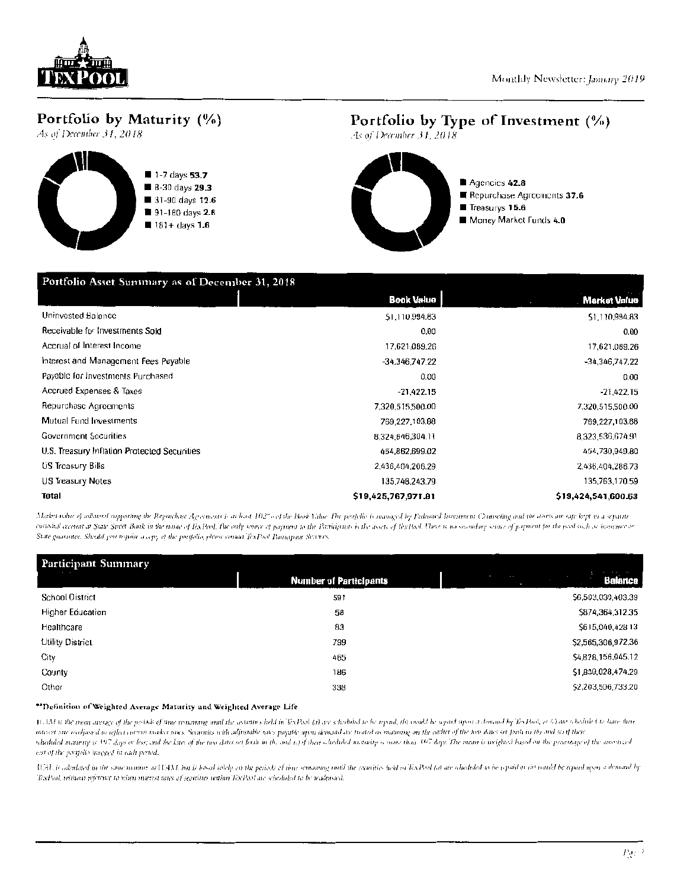

### Portfolio by Maturity (%)

As of December 31, 2018



#### Portfolio by Type of Investment (%)

As of December 31, 2018.



| Portfolio Asset Summary as of December 31, 2018 |                     |                     |  |  |  |  |
|-------------------------------------------------|---------------------|---------------------|--|--|--|--|
|                                                 | <b>Book Value</b>   | Market Value        |  |  |  |  |
| Uninvested Balance                              | \$1,110,994.83      | \$1,110,994.83      |  |  |  |  |
| Receivable for Investments Sold                 | 0.00                | 0,00                |  |  |  |  |
| Accrual of Interest Income                      | 17.621.089.26       | 17,621,089.26       |  |  |  |  |
| Interest and Management Fees Payable            | -34,346,747.22      | -34,346,747.22      |  |  |  |  |
| Payable for Investments Purchased               | 0.00                | 0.00                |  |  |  |  |
| Accrued Expenses & Taxes                        | $-21.422.15$        | $-21,422.15$        |  |  |  |  |
| Repurchase Agreements                           | 7,320,515,500.00    | 7.320.515,500.00    |  |  |  |  |
| Mutual Fund Investments                         | 769,227,103.88      | 769,227,103.88      |  |  |  |  |
| <b>Government Securities</b>                    | 8,324,646,304.11    | 8,323,536,674.91    |  |  |  |  |
| U.S. Treasury Inflation Protected Securities    | 454.862.699.02      | 454,730,949.80      |  |  |  |  |
| US Treasury Bills                               | 2,436,404,206.29    | 2,436,404,286.73    |  |  |  |  |
| US Treasury Notes                               | 135,748,243.79      | 135,763,170.59      |  |  |  |  |
| Total                                           | \$19,425,767,971.81 | \$19,424,541,600.63 |  |  |  |  |

Maker ratio of othmest supporting the Reparchase Agerements is at least 102" of the Book Vidue. The peopletic is managed by Federated Investment Counseling and the avers one safe kept in a separate enstaint account at State Street Bunk in the nome of ExPool. The only source of payment to the Participants is the assets of ExPool. There is no secondary source of payment for the pool such as instantion or State guarantee. Should you require a copy of the postfolio, please contact TexPool Participant Secrets.

| Participant Summary     |                               |                              |
|-------------------------|-------------------------------|------------------------------|
|                         | <b>Number of Participants</b> | <b>COL</b><br><b>Balance</b> |
| School District         | 591                           | \$6,503,030,403.39           |
| <b>Higher Education</b> | 58                            | \$874,364,312.35             |
| Healthcare              | 83                            | \$615,040,428.13             |
| Utility District        | 799                           | \$2,565,306,972,36           |
| City                    | 465                           | \$4,828,156,045.12           |
| County                  | 186                           | \$1,839,028,474.29           |
| Other                   | 338                           | \$2,203,506,733.20           |

#### \*\* Definition of Weighted Average Maturity and Weighted Average Life

WAM is the mean areage of the periods of time remaining unit the securities held in ExPool (i) are shaduled to be repaid, (b) would be repaid upon a demand by ExPool, or 6) are sheduled to have their interest suc realisated to reflect arean market mics. Searnitis with adjustable rates payable upon demand are treated as manning on the earlier of the two dates or forth in the and (c) if their scheduled manitity is 197 days or less; and the later of the tire dates set fouli in the and to J thor scheduled maturity is more than 197 days. The mean is weighted based on the percentage of the amortized ost of the portfolio invested in each period.

U.AL is calculated in the same namner as WAM, but is based solely on the periods of time remaining until the securities held to TexPool (a) are sheduled to be repaid or in would be repaid open a denamal by TexPool, without reference to when interest rates of securities within TexPool are scheduled to be readproted.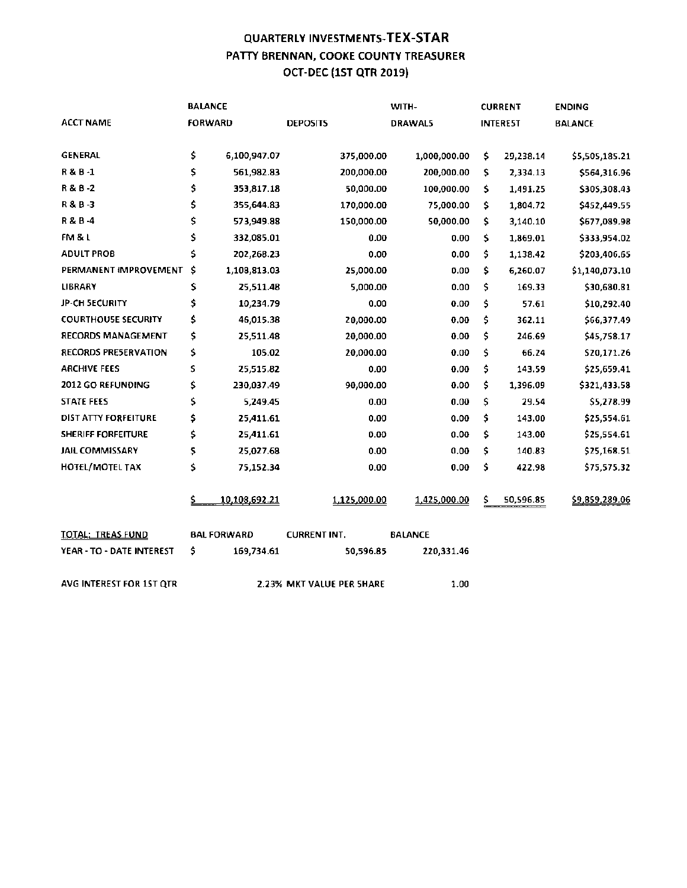#### QUARTERLY INVESTMENTS-TEX-STAR **PATTY BRENNAN, COOKE COUNTY TREASURER**  OCT-DEC {1ST QTR 2019)

|                            |    | <b>BALANCE</b>     |                           | WITH-          |     | <b>CURRENT</b>  | <b>ENDING</b>  |
|----------------------------|----|--------------------|---------------------------|----------------|-----|-----------------|----------------|
| <b>ACCT NAME</b>           |    | <b>FORWARD</b>     | <b>DEPOSITS</b>           | DRAWAL5        |     | <b>INTEREST</b> | <b>BALANCE</b> |
| <b>GENERAL</b>             | \$ | 6,100,947.07       | 375,000.00                | 1,000,000.00   | \$  | 29,238.14       | \$5,505,185.21 |
| R&B-1                      | \$ | 561,982.83         | 200,000.00                | 200,000.00     | \$  | 2,334.13        | \$564,316.96   |
| R & B -2                   | \$ | 353,817.18         | 50,000.00                 | 100,000.00     | \$. | 1,491.25        | \$305,308.43   |
| R & B -3                   | \$ | 355,644.83         | 170,000.00                | 75,000.00      | \$  | 1,804.72        | \$452,449.55   |
| R & B -4                   | \$ | 573,949.88         | 150,000.00                | 50,000.00      | \$  | 3,140.10        | \$677,089.98   |
| FM & L                     | \$ | 332,085.01         | 0.00                      | 0.00           | \$. | 1,869.01        | \$333,954.02   |
| <b>ADULT PROB</b>          | \$ | 202,268.23         | 0.00                      | 0.00           | \$  | 1,138.42        | \$203,406.65   |
| PERMANENT IMPROVEMENT      | \$ | 1,108,813.03       | 25,000.00                 | 0.00           | \$  | 6,260.07        | \$1,140,073.10 |
| <b>LIBRARY</b>             | \$ | 25,511.48          | 5,000.00                  | 0.00           | \$  | 169.33          | \$30,680.81    |
| <b>JP-CH SECURITY</b>      | \$ | 10,234.79          | 0.00                      | 0.00           | \$  | 57.61           | \$10,292.40    |
| <b>COURTHOUSE SECURITY</b> | \$ | 46,015.38          | 20,000.00                 | 0.00           | \$  | 362.11          | \$66,377.49    |
| <b>RECORDS MANAGEMENT</b>  | \$ | 25,511.48          | 20,000.00                 | 0.00           | \$  | 246.69          | \$45,758.17    |
| RECORDS PRESERVATION       | \$ | 105.02             | 20,000.00                 | 0.00           | \$  | 66.24           | \$20,171.26    |
| <b>ARCHIVE FEES</b>        | S. | 25,515.82          | 0.00                      | 0.00           | \$  | 143.59          | \$25,659.41    |
| 2012 GO REFUNDING          | \$ | 230,037.49         | 90,000.00                 | 0.00           | \$  | 1,396.09        | \$321,433.58   |
| <b>STATE FEES</b>          | \$ | 5,249.45           | 0.00                      | 0.00           | \$  | 29.54           | \$5,278.99     |
| DIST ATTY FORFEITURE       | \$ | 25,411.61          | 0.00                      | 0.00           | \$  | 143.00          | \$25,554.61    |
| <b>SHERIFF FORFEITURE</b>  | \$ | 25,411.61          | 0.00                      | 0.00           | \$  | 143.00          | \$25,554.61    |
| <b>JAIL COMMISSARY</b>     | \$ | 25,027.68          | 0.00                      | 0.00           | \$. | 140.83          | \$25,168.51    |
| HOTEL/MOTEL TAX            | \$ | 75,152.34          | 0.00                      | 0.00           | \$. | 422.98          | \$75,575.32    |
|                            | ⅀  | 10,108,692.21      | 1,125,000.00              | 1,425,000.00   | \$. | 50,596.85       | \$9,859,289.06 |
| <b>TOTAL: TREAS FUND</b>   |    | <b>BAL FORWARD</b> | <b>CURRENT INT.</b>       | <b>BALANCE</b> |     |                 |                |
| YEAR - TO - DATE INTEREST  | \$ | 169,734.61         | 50,596.85                 | 220,331.46     |     |                 |                |
| AVG INTEREST FOR 1ST QTR   |    |                    | 2.23% MKT VALUE PER SHARE | 1.00           |     |                 |                |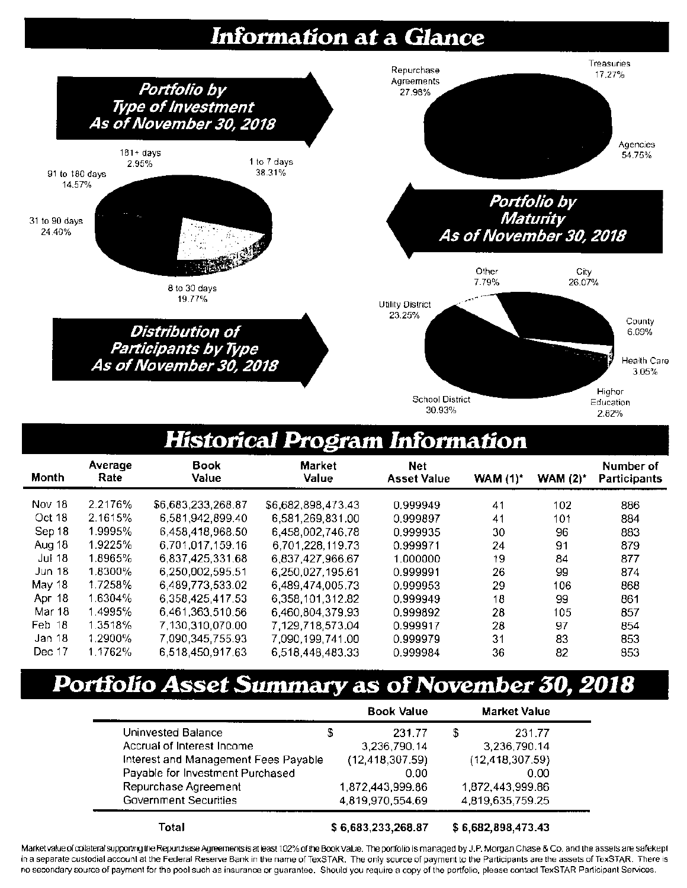# **Information at a Glance**



# **Historical Program lnfonnation**

| <b>Month</b>  | Average<br>Rate | Book<br>Value      | <b>Market</b><br>Value | <b>Net</b><br><b>Asset Value</b> | <b>WAM (1)*</b> | <b>WAM (2)*</b> | Number of<br><b>Participants</b> |
|---------------|-----------------|--------------------|------------------------|----------------------------------|-----------------|-----------------|----------------------------------|
| Nov 18        | 2.2176%         | \$6,683,233,268.87 | \$6,682,898,473.43     | 0.999949                         | 41              | 102             | 886                              |
| Oct 18        | 2.1615%         | 6,581,942,899.40   | 6,581,269,831,00       | 0.999897                         | 41              | 101             | 884                              |
| Sep 18        | 1.9995%         | 6,458,418,968.50   | 6,458,002,746,78       | 0.999935                         | 30              | 96              | 883                              |
| Aug 18        | 1.9225%         | 6,701,017,159.16   | 6.701.228.119.73       | 0.999971                         | 24              | 91              | 879                              |
| Jul 18        | 1.8965%         | 6,837,425,331.68   | 6.837.427.966.67       | 1.000000                         | 19              | 84              | 877                              |
| Jun $18$      | $1.8300\%$      | 6,250,002,595.51   | 6,250,027,195.61       | 0.999991                         | 26              | 99              | 874                              |
| May 18        | 1.7258%         | 6,489,773,533.02   | 6,489,474,005.73       | 0.999953                         | 29              | 106             | 868                              |
| <b>Apr 18</b> | 1.6304%         | 6,358,425,417.53   | 6,358,101,312.82       | 0.999949                         | 18              | 99              | 861                              |
| Mar 18        | 1.4995%         | 6,461,363,510.56   | 6.460.804.379.93       | 0.999892                         | 28              | 105             | 857                              |
| Feb 18        | 1.3518%         | 7,130,310,070.00   | 7,129,718,573.04       | 0.999917                         | 28              | 97              | 854                              |
| Jan 18        | 1.2900%         | 7,090,345,755.93   | 7,090,199,741.00       | 0.999979                         | 31              | 83              | 853                              |
| Dec 17        | 1.1762%         | 6,518,450,917,63   | 6,518,448,483.33       | 0.999984                         | 36              | 82              | 853                              |

# **Portfolio Asset Summary as of November 30, 2018**

|                                      | <b>Book Value</b>  | <b>Market Value</b> |  |
|--------------------------------------|--------------------|---------------------|--|
| Uninvested Balance                   | 231.77             | \$<br>231.77        |  |
| Accrual of Interest Income           | 3,236,790.14       | 3,236,790.14        |  |
| Interest and Management Fees Payable | (12, 418, 307.59)  | (12, 418, 307.59)   |  |
| Payable for Investment Purchased     | 0.00               | 0.00                |  |
| Repurchase Agreement                 | 1,872,443,999.86   | 1,872,443,999.86    |  |
| Government Securities                | 4,819,970,554.69   | 4,819,635,759.25    |  |
| Total                                | \$6,683,233,268.87 | \$6,682,898,473.43  |  |

Market value of collateral supportrng the Repurchase Agreements is at least 102% of the Book Value. The portfolio is managed by J.P. Morgan Chase & Co. and the assets are safekept in a separate custodial account at the Federal Reserve Bank in the name of TexSTAR. The only source of payment to the Participants are the assets of TexSTAR. There is no secondary source of payment for the pool such as insuranoe or guarantee. Should you require a copy of the portfolio. please contact TexSTAR Participant Services.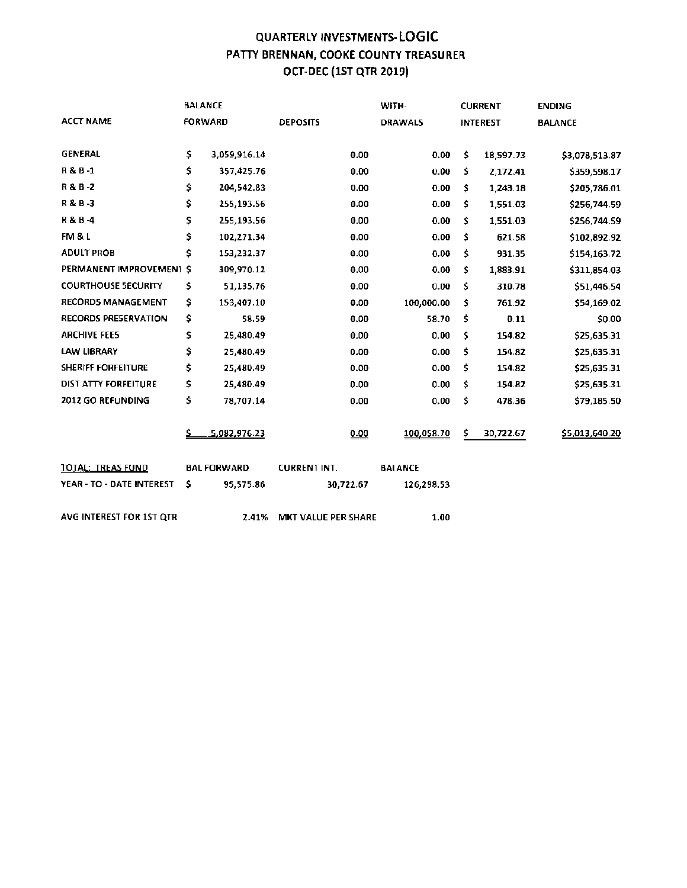#### QUARTERLY INVESTMENTS- LOGIC PATTY BRENNAN, COOKE COUNTY TREASURER OCT-DEC (1ST QTR 2019(

|                             |     | <b>BALANCE</b>     |                     | WITH-          |     | <b>CURRENT</b>  | <b>ENDING</b>  |
|-----------------------------|-----|--------------------|---------------------|----------------|-----|-----------------|----------------|
| <b>ACCT NAME</b>            |     | <b>FORWARD</b>     | <b>DEPOSITS</b>     | <b>DRAWALS</b> |     | <b>INTEREST</b> | <b>BALANCE</b> |
| <b>GENERAL</b>              | \$. | 3,059,916.14       | 0.00                | 0.00           | \$  | 18,597.73       | \$3,078,513.87 |
| R&B-1                       | \$. | 357,425.76         | 0.00                | 0.00           | \$  | 2,172.41        | \$359,598.17   |
| R & B -2                    | \$. | 204,542.83         | 0.00                | 0.00           | Š.  | 1,243.18        | \$205,786.01   |
| R&B-3                       | \$  | 255,193.56         | 0.00                | 0.00           | \$  | 1,551.03        | \$256,744.59   |
| R & B -4                    | \$  | 255,193.56         | 0.00                | 0.00           | \$  | 1,551.03        | \$256,744.59   |
| FM & L                      | \$  | 102,271.34         | 0.00                | 0.00           | \$  | 621.58          | \$102,892.92   |
| <b>ADULT PROB</b>           | Ś   | 153,232.37         | 0.00                | 0.00           | \$  | 931.35          | \$154,163.72   |
| PERMANENT IMPROVEMENT S     |     | 309,970.12         | 0.00                | 0.00           | \$  | 1,883.91        | \$311,854.03   |
| <b>COURTHOUSE SECURITY</b>  | \$  | 51,135.76          | 0.00                | 0.00           | \$. | 310.78          | \$51,446.54    |
| <b>RECORDS MANAGEMENT</b>   | \$  | 153,407.10         | 0.00                | 100,000.00     | \$  | 761.92          | \$54,169.02    |
| <b>RECORDS PRESERVATION</b> | \$  | 58.59              | 0.00                | 58.70          | \$  | 0.11            | \$0.00         |
| <b>ARCHIVE FEE5</b>         | \$  | 25,480.49          | 0.00                | 0.00           | \$. | 154.82          | \$25,635.31    |
| <b>LAW LIBRARY</b>          | \$  | 25,480.49          | 0.00                | 0.00           | \$  | 154.82          | \$25,635.31    |
| <b>SHERIFF FORFEITURE</b>   | \$  | 25,480.49          | 0.00                | 0.00           | \$  | 154.82          | \$25,635.31    |
| DIST ATTY FORFEITURE        | \$  | 25,480.49          | 0.00                | 0.00           | \$. | 154.82          | \$25,635.31    |
| <b>2012 GO REFUNDING</b>    | \$  | 78,707.14          | 0.00                | 0.00           | \$  | 478.36          | \$79,185.50    |
|                             |     | 5,082,976.23       | 0.00                | 100,058.70     | \$  | 30,722.67       | \$5,013,640.20 |
| <b>TOTAL: TREAS FUND</b>    |     | <b>BAL FORWARD</b> | <b>CURRENT INT.</b> | <b>BALANCE</b> |     |                 |                |
| YEAR - TO - DATE INTEREST   | \$  | 95,575.86          | 30,722.67           | 126,298.53     |     |                 |                |
| AVG INTEREST FOR 1ST QTR    |     | 2.41%              | MKT VALUE PER SHARE | 1.00           |     |                 |                |